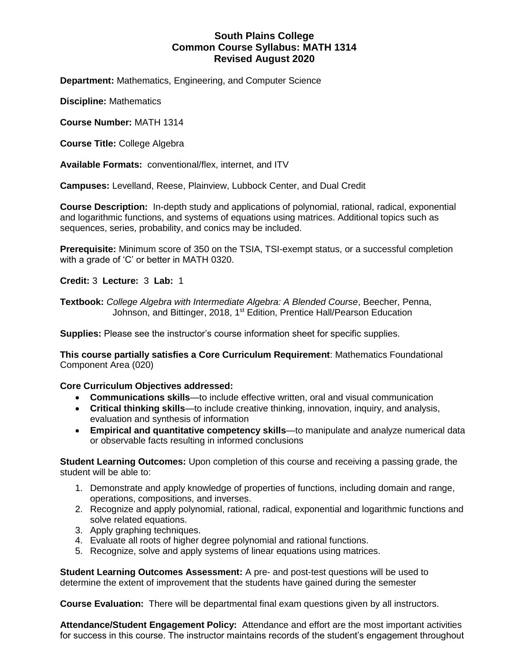# **South Plains College Common Course Syllabus: MATH 1314 Revised August 2020**

**Department:** Mathematics, Engineering, and Computer Science

**Discipline:** Mathematics

**Course Number:** MATH 1314

**Course Title:** College Algebra

**Available Formats:** conventional/flex, internet, and ITV

**Campuses:** Levelland, Reese, Plainview, Lubbock Center, and Dual Credit

**Course Description:** In-depth study and applications of polynomial, rational, radical, exponential and logarithmic functions, and systems of equations using matrices. Additional topics such as sequences, series, probability, and conics may be included.

**Prerequisite:** Minimum score of 350 on the TSIA, TSI-exempt status, or a successful completion with a grade of 'C' or better in MATH 0320.

**Credit:** 3 **Lecture:** 3 **Lab:** 1

**Textbook:** *College Algebra with Intermediate Algebra: A Blended Course*, Beecher, Penna, Johnson, and Bittinger, 2018, 1<sup>st</sup> Edition, Prentice Hall/Pearson Education

**Supplies:** Please see the instructor's course information sheet for specific supplies.

**This course partially satisfies a Core Curriculum Requirement**: Mathematics Foundational Component Area (020)

### **Core Curriculum Objectives addressed:**

- **Communications skills**—to include effective written, oral and visual communication
- **Critical thinking skills**—to include creative thinking, innovation, inquiry, and analysis, evaluation and synthesis of information
- **Empirical and quantitative competency skills**—to manipulate and analyze numerical data or observable facts resulting in informed conclusions

**Student Learning Outcomes:** Upon completion of this course and receiving a passing grade, the student will be able to:

- 1. Demonstrate and apply knowledge of properties of functions, including domain and range, operations, compositions, and inverses.
- 2. Recognize and apply polynomial, rational, radical, exponential and logarithmic functions and solve related equations.
- 3. Apply graphing techniques.
- 4. Evaluate all roots of higher degree polynomial and rational functions.
- 5. Recognize, solve and apply systems of linear equations using matrices.

**Student Learning Outcomes Assessment:** A pre- and post-test questions will be used to determine the extent of improvement that the students have gained during the semester

**Course Evaluation:** There will be departmental final exam questions given by all instructors.

**Attendance/Student Engagement Policy:** Attendance and effort are the most important activities for success in this course. The instructor maintains records of the student's engagement throughout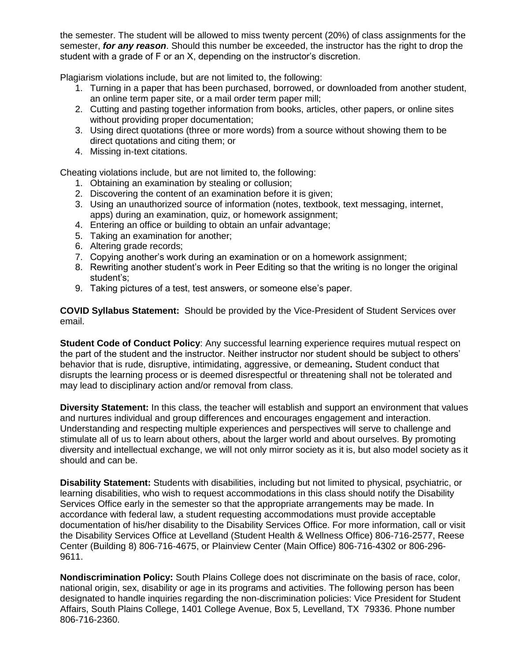the semester. The student will be allowed to miss twenty percent (20%) of class assignments for the semester, *for any reason*. Should this number be exceeded, the instructor has the right to drop the student with a grade of F or an X, depending on the instructor's discretion.

Plagiarism violations include, but are not limited to, the following:

- 1. Turning in a paper that has been purchased, borrowed, or downloaded from another student, an online term paper site, or a mail order term paper mill;
- 2. Cutting and pasting together information from books, articles, other papers, or online sites without providing proper documentation;
- 3. Using direct quotations (three or more words) from a source without showing them to be direct quotations and citing them; or
- 4. Missing in-text citations.

Cheating violations include, but are not limited to, the following:

- 1. Obtaining an examination by stealing or collusion;
- 2. Discovering the content of an examination before it is given;
- 3. Using an unauthorized source of information (notes, textbook, text messaging, internet, apps) during an examination, quiz, or homework assignment;
- 4. Entering an office or building to obtain an unfair advantage;
- 5. Taking an examination for another;
- 6. Altering grade records;
- 7. Copying another's work during an examination or on a homework assignment;
- 8. Rewriting another student's work in Peer Editing so that the writing is no longer the original student's;
- 9. Taking pictures of a test, test answers, or someone else's paper.

**COVID Syllabus Statement:** Should be provided by the Vice-President of Student Services over email.

**Student Code of Conduct Policy**: Any successful learning experience requires mutual respect on the part of the student and the instructor. Neither instructor nor student should be subject to others' behavior that is rude, disruptive, intimidating, aggressive, or demeaning**.** Student conduct that disrupts the learning process or is deemed disrespectful or threatening shall not be tolerated and may lead to disciplinary action and/or removal from class.

**Diversity Statement:** In this class, the teacher will establish and support an environment that values and nurtures individual and group differences and encourages engagement and interaction. Understanding and respecting multiple experiences and perspectives will serve to challenge and stimulate all of us to learn about others, about the larger world and about ourselves. By promoting diversity and intellectual exchange, we will not only mirror society as it is, but also model society as it should and can be.

**Disability Statement:** Students with disabilities, including but not limited to physical, psychiatric, or learning disabilities, who wish to request accommodations in this class should notify the Disability Services Office early in the semester so that the appropriate arrangements may be made. In accordance with federal law, a student requesting accommodations must provide acceptable documentation of his/her disability to the Disability Services Office. For more information, call or visit the Disability Services Office at Levelland (Student Health & Wellness Office) 806-716-2577, Reese Center (Building 8) 806-716-4675, or Plainview Center (Main Office) 806-716-4302 or 806-296- 9611.

**Nondiscrimination Policy:** South Plains College does not discriminate on the basis of race, color, national origin, sex, disability or age in its programs and activities. The following person has been designated to handle inquiries regarding the non-discrimination policies: Vice President for Student Affairs, South Plains College, 1401 College Avenue, Box 5, Levelland, TX 79336. Phone number 806-716-2360.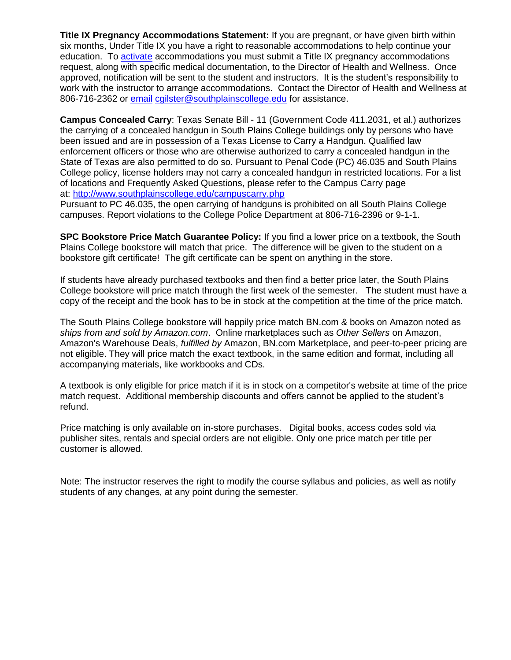**Title IX Pregnancy Accommodations Statement:** If you are pregnant, or have given birth within six months, Under Title IX you have a right to reasonable accommodations to help continue your education. To [activate](http://www.southplainscollege.edu/employees/manualshandbooks/facultyhandbook/sec4.php) accommodations you must submit a Title IX pregnancy accommodations request, along with specific medical documentation, to the Director of Health and Wellness. Once approved, notification will be sent to the student and instructors. It is the student's responsibility to work with the instructor to arrange accommodations. Contact the Director of Health and Wellness at 806-716-2362 or [email](http://www.southplainscollege.edu/employees/manualshandbooks/facultyhandbook/sec4.php) [cgilster@southplainscollege.edu](mailto:cgilster@southplainscollege.edu) for assistance.

**Campus Concealed Carry**: Texas Senate Bill - 11 (Government Code 411.2031, et al.) authorizes the carrying of a concealed handgun in South Plains College buildings only by persons who have been issued and are in possession of a Texas License to Carry a Handgun. Qualified law enforcement officers or those who are otherwise authorized to carry a concealed handgun in the State of Texas are also permitted to do so. Pursuant to Penal Code (PC) 46.035 and South Plains College policy, license holders may not carry a concealed handgun in restricted locations. For a list of locations and Frequently Asked Questions, please refer to the Campus Carry page at: <http://www.southplainscollege.edu/campuscarry.php>

Pursuant to PC 46.035, the open carrying of handguns is prohibited on all South Plains College campuses. Report violations to the College Police Department at 806-716-2396 or 9-1-1.

**SPC Bookstore Price Match Guarantee Policy:** If you find a lower price on a textbook, the South Plains College bookstore will match that price. The difference will be given to the student on a bookstore gift certificate! The gift certificate can be spent on anything in the store.

If students have already purchased textbooks and then find a better price later, the South Plains College bookstore will price match through the first week of the semester. The student must have a copy of the receipt and the book has to be in stock at the competition at the time of the price match.

The South Plains College bookstore will happily price match BN.com & books on Amazon noted as *ships from and sold by Amazon.com*. Online marketplaces such as *Other Sellers* on Amazon, Amazon's Warehouse Deals, *fulfilled by* Amazon, BN.com Marketplace, and peer-to-peer pricing are not eligible. They will price match the exact textbook, in the same edition and format, including all accompanying materials, like workbooks and CDs.

A textbook is only eligible for price match if it is in stock on a competitor's website at time of the price match request. Additional membership discounts and offers cannot be applied to the student's refund.

Price matching is only available on in-store purchases. Digital books, access codes sold via publisher sites, rentals and special orders are not eligible. Only one price match per title per customer is allowed.

Note: The instructor reserves the right to modify the course syllabus and policies, as well as notify students of any changes, at any point during the semester.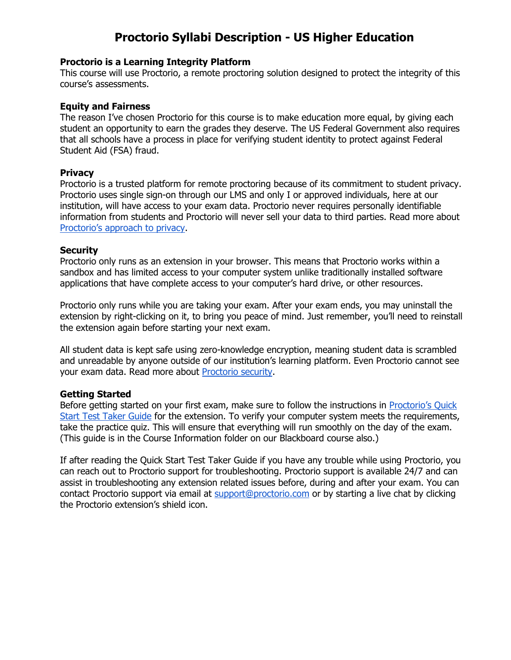# **Proctorio Syllabi Description - US Higher Education**

# **Proctorio is a Learning Integrity Platform**

This course will use Proctorio, a remote proctoring solution designed to protect the integrity of this course's assessments.

# **Equity and Fairness**

The reason I've chosen Proctorio for this course is to make education more equal, by giving each student an opportunity to earn the grades they deserve. The US Federal Government also requires that all schools have a process in place for verifying student identity to protect against Federal Student Aid (FSA) fraud.

# **Privacy**

Proctorio is a trusted platform for remote proctoring because of its commitment to student privacy. Proctorio uses single sign-on through our LMS and only I or approved individuals, here at our institution, will have access to your exam data. Proctorio never requires personally identifiable information from students and Proctorio will never sell your data to third parties. Read more about [Proctorio's approach to privacy](https://proctorio.com/about/personal-data-protections).

# **Security**

Proctorio only runs as an extension in your browser. This means that Proctorio works within a sandbox and has limited access to your computer system unlike traditionally installed software applications that have complete access to your computer's hard drive, or other resources.

Proctorio only runs while you are taking your exam. After your exam ends, you may uninstall the extension by right-clicking on it, to bring you peace of mind. Just remember, you'll need to reinstall the extension again before starting your next exam.

All student data is kept safe using zero-knowledge encryption, meaning student data is scrambled and unreadable by anyone outside of our institution's learning platform. Even Proctorio cannot see your exam data. Read more about [Proctorio security.](https://proctorio.com/about/personal-data-protections)

# **Getting Started**

Before getting started on your first exam, make sure to follow the instructions in [Proctorio's Quick](https://cdn.proctorio.com/guides/generic/test-taker/getting-started.pdf)  [Start Test Taker Guide](https://cdn.proctorio.com/guides/generic/test-taker/getting-started.pdf) for the extension. To verify your computer system meets the requirements, take the practice quiz. This will ensure that everything will run smoothly on the day of the exam. (This guide is in the Course Information folder on our Blackboard course also.)

If after reading the Quick Start Test Taker Guide if you have any trouble while using Proctorio, you can reach out to Proctorio support for troubleshooting. Proctorio support is available 24/7 and can assist in troubleshooting any extension related issues before, during and after your exam. You can contact Proctorio support via email at [support@proctorio.com](mailto:support@proctorio.com) or by starting a live chat by clicking the Proctorio extension's shield icon.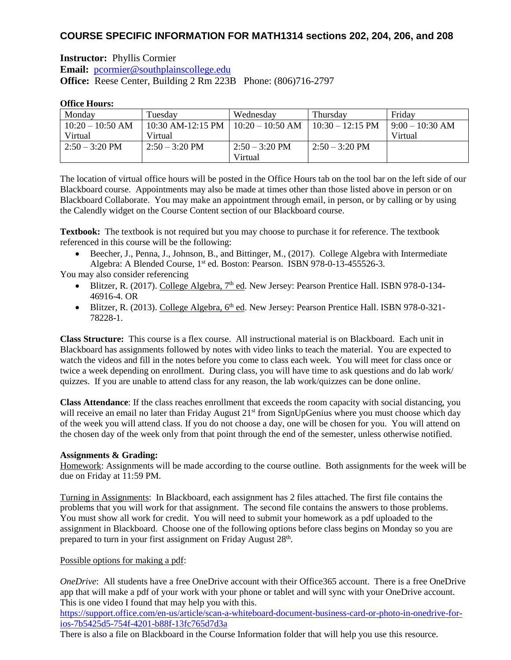# **COURSE SPECIFIC INFORMATION FOR MATH1314 sections 202, 204, 206, and 208**

**Instructor:** Phyllis Cormier **Email:** [pcormier@southplainscollege.edu](mailto:pcormier@southplainscollege.edu) **Office:** Reese Center, Building 2 Rm 223B Phone: (806)716-2797

### **Office Hours:**

| Monday                   | Tuesdav                                | Wednesdav        | Thursday                   | Friday          |
|--------------------------|----------------------------------------|------------------|----------------------------|-----------------|
| $10:20 - 10:50$ AM       | 10:30 AM-12:15 PM   $10:20 - 10:50$ AM |                  | $10:30 - 12:15 \text{ PM}$ | $9:00-10:30$ AM |
| Virtual                  | Virtual                                |                  |                            | Virtual         |
| $2:50 - 3:20 \text{ PM}$ | $2:50 - 3:20 \text{ PM}$               | $2:50 - 3:20$ PM | $2:50 - 3:20$ PM           |                 |
|                          |                                        | Virtual          |                            |                 |

The location of virtual office hours will be posted in the Office Hours tab on the tool bar on the left side of our Blackboard course. Appointments may also be made at times other than those listed above in person or on Blackboard Collaborate. You may make an appointment through email, in person, or by calling or by using the Calendly widget on the Course Content section of our Blackboard course.

**Textbook:** The textbook is not required but you may choose to purchase it for reference. The textbook referenced in this course will be the following:

• Beecher, J., Penna, J., Johnson, B., and Bittinger, M., (2017). College Algebra with Intermediate Algebra: A Blended Course, 1<sup>st</sup> ed. Boston: Pearson. ISBN 978-0-13-455526-3.

You may also consider referencing

- Blitzer, R. (2017). College Algebra, 7<sup>th</sup> ed. New Jersey: Pearson Prentice Hall. ISBN 978-0-134-46916-4. OR
- Blitzer, R. (2013). College Algebra, 6<sup>th</sup> ed. New Jersey: Pearson Prentice Hall. ISBN 978-0-321-78228-1.

**Class Structure:** This course is a flex course. All instructional material is on Blackboard. Each unit in Blackboard has assignments followed by notes with video links to teach the material. You are expected to watch the videos and fill in the notes before you come to class each week. You will meet for class once or twice a week depending on enrollment. During class, you will have time to ask questions and do lab work/ quizzes. If you are unable to attend class for any reason, the lab work/quizzes can be done online.

**Class Attendance**: If the class reaches enrollment that exceeds the room capacity with social distancing, you will receive an email no later than Friday August 21<sup>st</sup> from SignUpGenius where you must choose which day of the week you will attend class. If you do not choose a day, one will be chosen for you. You will attend on the chosen day of the week only from that point through the end of the semester, unless otherwise notified.

### **Assignments & Grading:**

Homework: Assignments will be made according to the course outline. Both assignments for the week will be due on Friday at 11:59 PM.

Turning in Assignments: In Blackboard, each assignment has 2 files attached. The first file contains the problems that you will work for that assignment. The second file contains the answers to those problems. You must show all work for credit. You will need to submit your homework as a pdf uploaded to the assignment in Blackboard. Choose one of the following options before class begins on Monday so you are prepared to turn in your first assignment on Friday August 28<sup>th</sup>.

### Possible options for making a pdf:

*OneDrive*: All students have a free OneDrive account with their Office365 account. There is a free OneDrive app that will make a pdf of your work with your phone or tablet and will sync with your OneDrive account. This is one video I found that may help you with this.

[https://support.office.com/en-us/article/scan-a-whiteboard-document-business-card-or-photo-in-onedrive-for](https://support.office.com/en-us/article/scan-a-whiteboard-document-business-card-or-photo-in-onedrive-for-ios-7b5425d5-754f-4201-b88f-13fc765d7d3a)[ios-7b5425d5-754f-4201-b88f-13fc765d7d3a](https://support.office.com/en-us/article/scan-a-whiteboard-document-business-card-or-photo-in-onedrive-for-ios-7b5425d5-754f-4201-b88f-13fc765d7d3a)

There is also a file on Blackboard in the Course Information folder that will help you use this resource.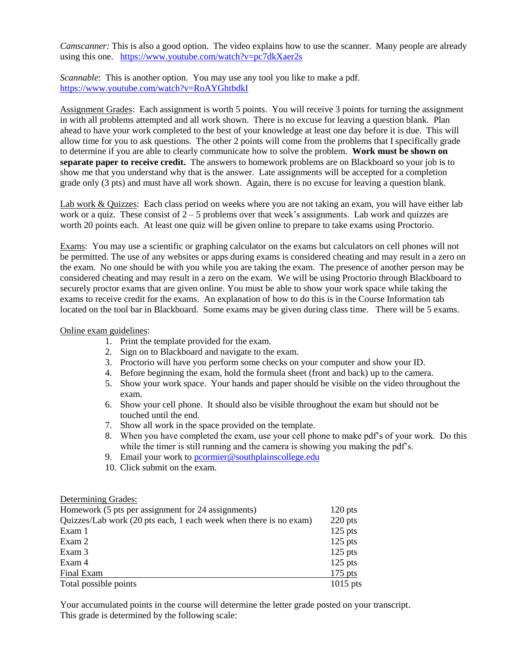*Camscanner:* This is also a good option. The video explains how to use the scanner. Many people are already using this one. <https://www.youtube.com/watch?v=pc7dkXaer2s>

*Scannable*: This is another option. You may use any tool you like to make a pdf. <https://www.youtube.com/watch?v=RoAYGhtbdkI>

Assignment Grades: Each assignment is worth 5 points. You will receive 3 points for turning the assignment in with all problems attempted and all work shown. There is no excuse for leaving a question blank. Plan ahead to have your work completed to the best of your knowledge at least one day before it is due. This will allow time for you to ask questions. The other 2 points will come from the problems that I specifically grade to determine if you are able to clearly communicate how to solve the problem. **Work must be shown on separate paper to receive credit.** The answers to homework problems are on Blackboard so your job is to show me that you understand why that is the answer. Late assignments will be accepted for a completion grade only (3 pts) and must have all work shown. Again, there is no excuse for leaving a question blank.

Lab work & Quizzes: Each class period on weeks where you are not taking an exam, you will have either lab work or a quiz. These consist of  $2 - 5$  problems over that week's assignments. Lab work and quizzes are worth 20 points each. At least one quiz will be given online to prepare to take exams using Proctorio.

Exams: You may use a scientific or graphing calculator on the exams but calculators on cell phones will not be permitted. The use of any websites or apps during exams is considered cheating and may result in a zero on the exam. No one should be with you while you are taking the exam. The presence of another person may be considered cheating and may result in a zero on the exam. We will be using Proctorio through Blackboard to securely proctor exams that are given online. You must be able to show your work space while taking the exams to receive credit for the exams. An explanation of how to do this is in the Course Information tab located on the tool bar in Blackboard. Some exams may be given during class time. There will be 5 exams.

#### Online exam guidelines:

- 1. Print the template provided for the exam.
- 2. Sign on to Blackboard and navigate to the exam.
- 3. Proctorio will have you perform some checks on your computer and show your ID.
- 4. Before beginning the exam, hold the formula sheet (front and back) up to the camera.
- 5. Show your work space. Your hands and paper should be visible on the video throughout the exam.
- 6. Show your cell phone. It should also be visible throughout the exam but should not be touched until the end.
- 7. Show all work in the space provided on the template.
- 8. When you have completed the exam, use your cell phone to make pdf's of your work. Do this while the timer is still running and the camera is showing you making the pdf's.
- 9. Email your work to [pcormier@southplainscollege.edu](mailto:pcormier@southplainscollege.edu)
- 10. Click submit on the exam.

#### Determining Grades:

| Homework (5 pts per assignment for 24 assignments)                |            |
|-------------------------------------------------------------------|------------|
| Quizzes/Lab work (20 pts each, 1 each week when there is no exam) |            |
| Exam 1                                                            | $125$ pts  |
| Exam 2                                                            | $125$ pts  |
| Exam 3                                                            | $125$ pts  |
| Exam 4                                                            | $125$ pts  |
| Final Exam                                                        | $175$ pts  |
| Total possible points                                             | $1015$ pts |

Your accumulated points in the course will determine the letter grade posted on your transcript. This grade is determined by the following scale: